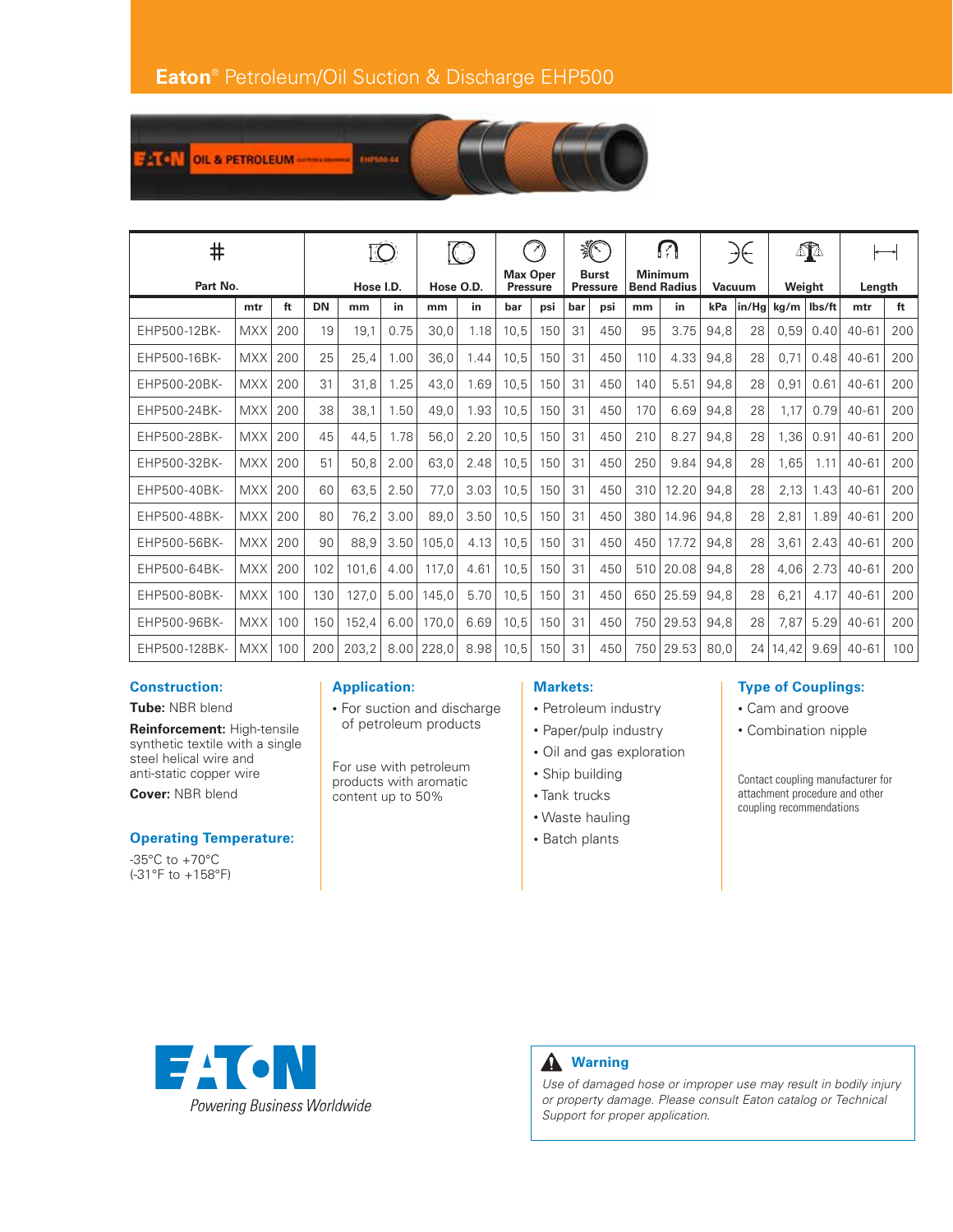

| #             |            |     |           |       |      |           |      |                                    |     | 狐                               |     | M                                    |       | $\rightarrow \leftarrow$ |       | ⚠               |      |           |     |
|---------------|------------|-----|-----------|-------|------|-----------|------|------------------------------------|-----|---------------------------------|-----|--------------------------------------|-------|--------------------------|-------|-----------------|------|-----------|-----|
| Part No.      |            |     | Hose I.D. |       |      | Hose O.D. |      | <b>Max Oper</b><br><b>Pressure</b> |     | <b>Burst</b><br><b>Pressure</b> |     | <b>Minimum</b><br><b>Bend Radius</b> |       | Vacuum                   |       | Weight          |      | Length    |     |
|               | mtr        | ft  | <b>DN</b> | mm    | in.  | mm        | in   | bar                                | psi | bar                             | psi | mm                                   | in    | kPa                      | in/Hg | $kg/m$   lbs/ft |      | mtr       | ft  |
| EHP500-12BK-  | <b>MXX</b> | 200 | 19        | 19,1  | 0.75 | 30,0      | 1.18 | 10,5                               | 150 | 31                              | 450 | 95                                   | 3.75  | 94,8                     | 28    | 0,59            | 0.40 | $40 - 61$ | 200 |
| EHP500-16BK-  | <b>MXX</b> | 200 | 25        | 25,4  | 1.00 | 36,0      | 1.44 | 10,5                               | 150 | 31                              | 450 | 110                                  | 4.33  | 94,8                     | 28    | 0,71            | 0.48 | $40 - 61$ | 200 |
| EHP500-20BK-  | <b>MXX</b> | 200 | 31        | 31,8  | 1.25 | 43,0      | 1.69 | 10,5                               | 150 | 31                              | 450 | 140                                  | 5.51  | 94,8                     | 28    | 0,91            | 0.61 | $40 - 61$ | 200 |
| EHP500-24BK-  | <b>MXX</b> | 200 | 38        | 38,1  | 1.50 | 49,0      | 1.93 | 10,5                               | 150 | 31                              | 450 | 170                                  | 6.69  | 94,8                     | 28    | 1,17            | 0.79 | $40 - 61$ | 200 |
| EHP500-28BK-  | <b>MXX</b> | 200 | 45        | 44,5  | 1.78 | 56,0      | 2.20 | 10,5                               | 150 | 31                              | 450 | 210                                  | 8.27  | 94.8                     | 28    | 1,36            | 0.91 | $40 - 61$ | 200 |
| EHP500-32BK-  | <b>MXX</b> | 200 | 51        | 50,8  | 2.00 | 63,0      | 2.48 | 10,5                               | 150 | 31                              | 450 | 250                                  | 9.84  | 94,8                     | 28    | 1,65            | 1.11 | $40 - 61$ | 200 |
| EHP500-40BK-  | <b>MXX</b> | 200 | 60        | 63,5  | 2.50 | 77,0      | 3.03 | 10,5                               | 150 | 31                              | 450 | 310                                  | 12.20 | 94,8                     | 28    | 2,13            | 1.43 | $40 - 61$ | 200 |
| EHP500-48BK-  | <b>MXX</b> | 200 | 80        | 76,2  | 3.00 | 89,0      | 3.50 | 10,5                               | 150 | 31                              | 450 | 380                                  | 14.96 | 94,8                     | 28    | 2,81            | 1.89 | $40 - 61$ | 200 |
| EHP500-56BK-  | <b>MXX</b> | 200 | 90        | 88,9  | 3.50 | 105,0     | 4.13 | 10.5                               | 150 | 31                              | 450 | 450                                  | 17.72 | 94.8                     | 28    | 3,61            | 2.43 | $40 - 61$ | 200 |
| EHP500-64BK-  | <b>MXX</b> | 200 | 102       | 101,6 | 4.00 | 117,0     | 4.61 | 10,5                               | 150 | 31                              | 450 | 510                                  | 20.08 | 94,8                     | 28    | 4,06            | 2.73 | $40 - 61$ | 200 |
| EHP500-80BK-  | <b>MXX</b> | 100 | 130       | 127,0 | 5.00 | 145,0     | 5.70 | 10,5                               | 150 | 31                              | 450 | 650                                  | 25.59 | 94,8                     | 28    | 6,21            | 4.17 | $40 - 61$ | 200 |
| EHP500-96BK-  | <b>MXX</b> | 100 | 150       | 152,4 | 6.00 | 170,0     | 6.69 | 10,5                               | 150 | 31                              | 450 | 750                                  | 29.53 | 94,8                     | 28    | 7,87            | 5.29 | $40 - 61$ | 200 |
| EHP500-128BK- | <b>MXX</b> | 100 | 200       | 203.2 | 8.00 | 228,0     | 8.98 | 10.5                               | 150 | 31                              | 450 | 750                                  | 29.53 | 80.0                     | 24    | 14,42           | 9.69 | $40 - 61$ | 100 |

## **Construction:**

**Tube:** NBR blend

**Reinforcement:** High-tensile synthetic textile with a single steel helical wire and anti-static copper wire

**Cover:** NBR blend

## **Operating Temperature:**

-35°C to +70°C (-31°F to +158°F)

# **Application:**

• For suction and discharge of petroleum products

For use with petroleum products with aromatic content up to 50%

#### **Markets:**

- Petroleum industry
- Paper/pulp industry
- Oil and gas exploration
- Ship building
- Tank trucks
- Waste hauling
- Batch plants

### **Type of Couplings:**

- Cam and groove
- Combination nipple

Contact coupling manufacturer for attachment procedure and other coupling recommendations





*Use of damaged hose or improper use may result in bodily injury or property damage. Please consult Eaton catalog or Technical Support for proper application.*